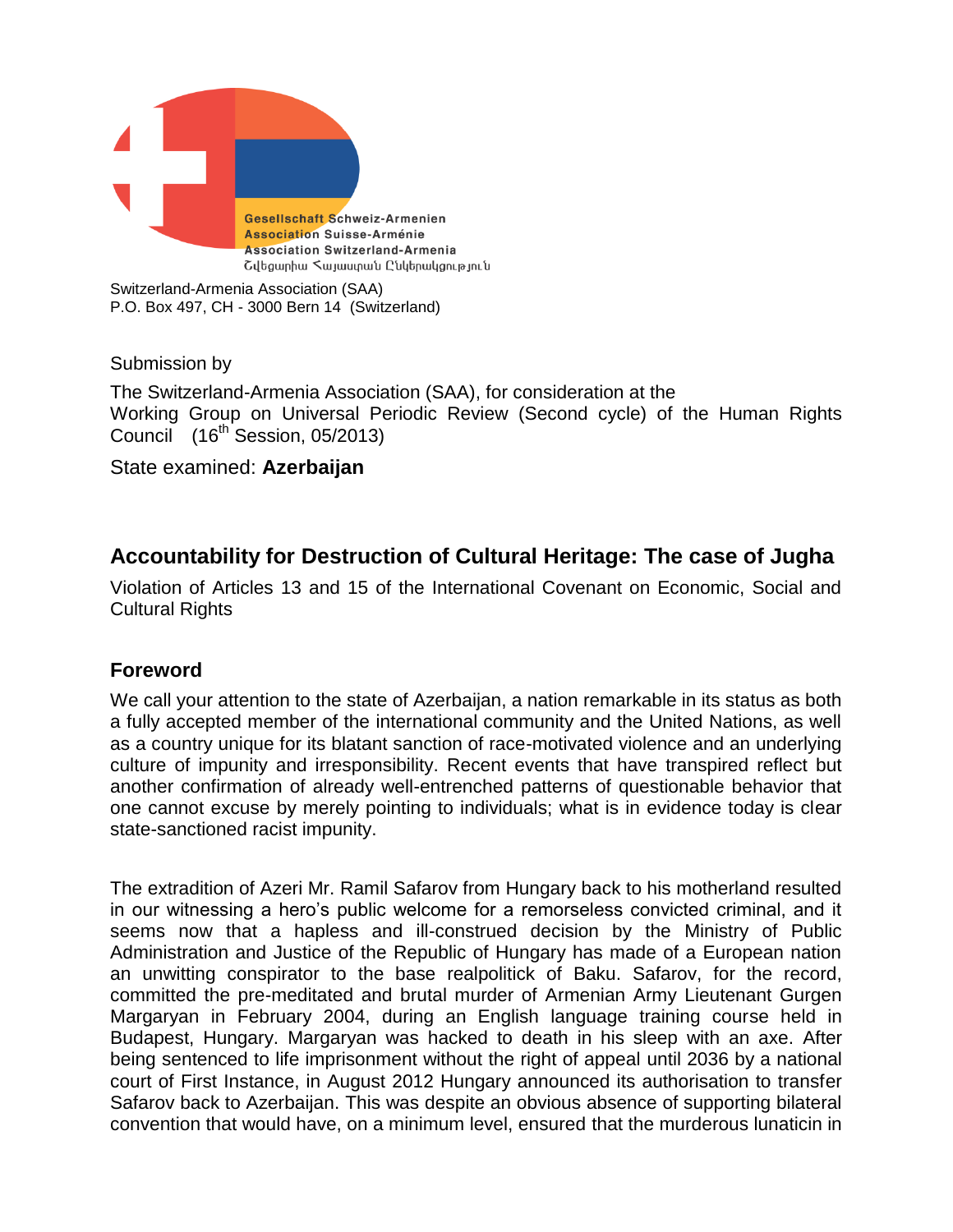

Switzerland-Armenia Association (SAA) P.O. Box 497, CH - 3000 Bern 14 (Switzerland)

Submission by

The Switzerland-Armenia Association (SAA), for consideration at the Working Group on Universal Periodic Review (Second cycle) of the Human Rights Council  $(16^{\text{th}})$  Session, 05/2013)

State examined: **Azerbaijan**

# **Accountability for Destruction of Cultural Heritage: The case of Jugha**

Violation of Articles 13 and 15 of the International Covenant on Economic, Social and Cultural Rights

# **Foreword**

We call your attention to the state of Azerbaijan, a nation remarkable in its status as both a fully accepted member of the international community and the United Nations, as well as a country unique for its blatant sanction of race-motivated violence and an underlying culture of impunity and irresponsibility. Recent events that have transpired reflect but another confirmation of already well-entrenched patterns of questionable behavior that one cannot excuse by merely pointing to individuals; what is in evidence today is clear state-sanctioned racist impunity.

The extradition of Azeri Mr. Ramil Safarov from Hungary back to his motherland resulted in our witnessing a hero's public welcome for a remorseless convicted criminal, and it seems now that a hapless and ill-construed decision by the Ministry of Public Administration and Justice of the Republic of Hungary has made of a European nation an unwitting conspirator to the base realpolitick of Baku. Safarov, for the record, committed the pre-meditated and brutal murder of Armenian Army Lieutenant Gurgen Margaryan in February 2004, during an English language training course held in Budapest, Hungary. Margaryan was hacked to death in his sleep with an axe. After being sentenced to life imprisonment without the right of appeal until 2036 by a national court of First Instance, in August 2012 Hungary announced its authorisation to transfer Safarov back to Azerbaijan. This was despite an obvious absence of supporting bilateral convention that would have, on a minimum level, ensured that the murderous lunaticin in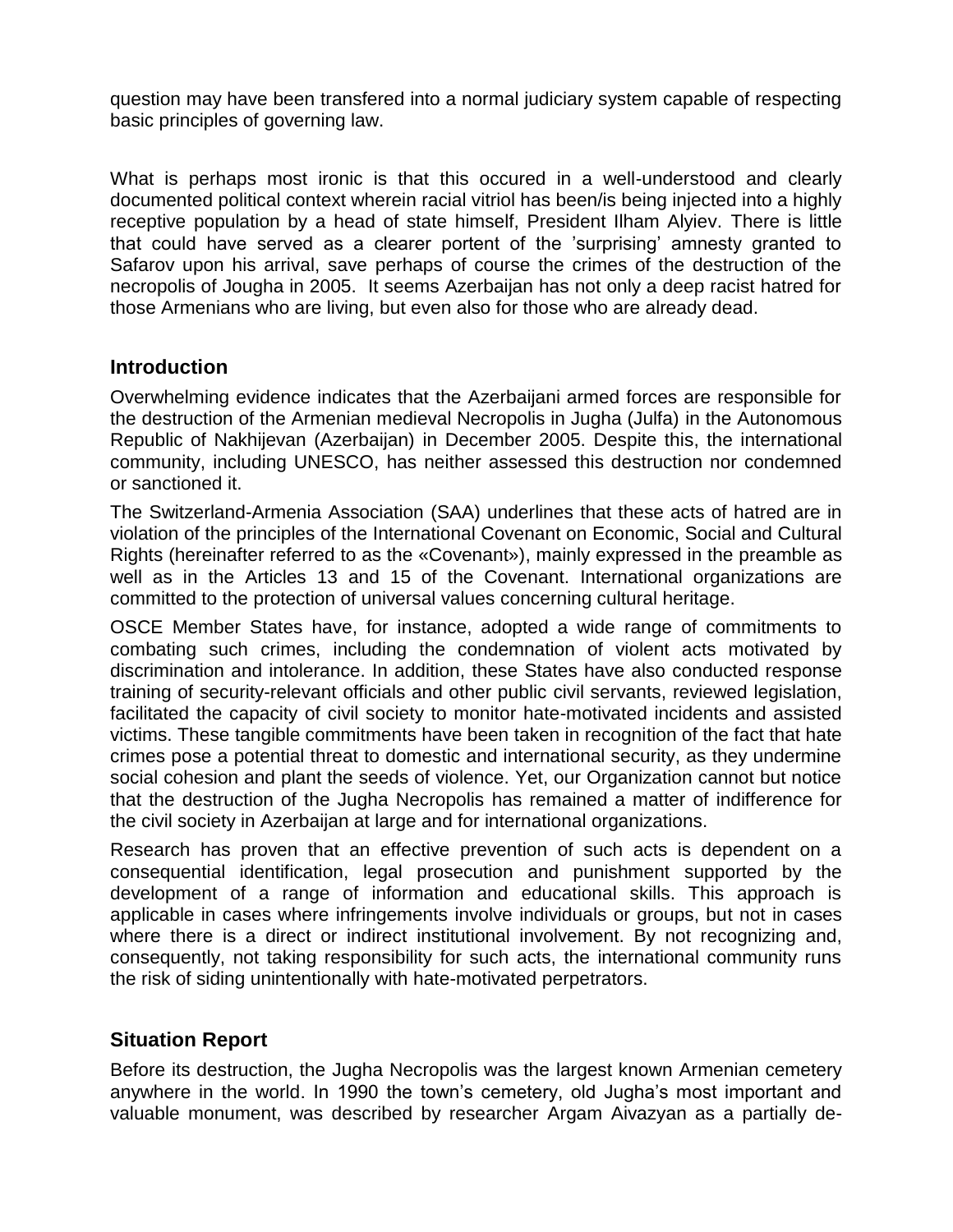question may have been transfered into a normal judiciary system capable of respecting basic principles of governing law.

What is perhaps most ironic is that this occured in a well-understood and clearly documented political context wherein racial vitriol has been/is being injected into a highly receptive population by a head of state himself, President Ilham Alyiev. There is little that could have served as a clearer portent of the 'surprising' amnesty granted to Safarov upon his arrival, save perhaps of course the crimes of the destruction of the necropolis of Jougha in 2005. It seems Azerbaijan has not only a deep racist hatred for those Armenians who are living, but even also for those who are already dead.

#### **Introduction**

Overwhelming evidence indicates that the Azerbaijani armed forces are responsible for the destruction of the Armenian medieval Necropolis in Jugha (Julfa) in the Autonomous Republic of Nakhijevan (Azerbaijan) in December 2005. Despite this, the international community, including UNESCO, has neither assessed this destruction nor condemned or sanctioned it.

The Switzerland-Armenia Association (SAA) underlines that these acts of hatred are in violation of the principles of the International Covenant on Economic, Social and Cultural Rights (hereinafter referred to as the «Covenant»), mainly expressed in the preamble as well as in the Articles 13 and 15 of the Covenant. International organizations are committed to the protection of universal values concerning cultural heritage.

OSCE Member States have, for instance, adopted a wide range of commitments to combating such crimes, including the condemnation of violent acts motivated by discrimination and intolerance. In addition, these States have also conducted response training of security-relevant officials and other public civil servants, reviewed legislation, facilitated the capacity of civil society to monitor hate-motivated incidents and assisted victims. These tangible commitments have been taken in recognition of the fact that hate crimes pose a potential threat to domestic and international security, as they undermine social cohesion and plant the seeds of violence. Yet, our Organization cannot but notice that the destruction of the Jugha Necropolis has remained a matter of indifference for the civil society in Azerbaijan at large and for international organizations.

Research has proven that an effective prevention of such acts is dependent on a consequential identification, legal prosecution and punishment supported by the development of a range of information and educational skills. This approach is applicable in cases where infringements involve individuals or groups, but not in cases where there is a direct or indirect institutional involvement. By not recognizing and, consequently, not taking responsibility for such acts, the international community runs the risk of siding unintentionally with hate-motivated perpetrators.

# **Situation Report**

Before its destruction, the Jugha Necropolis was the largest known Armenian cemetery anywhere in the world. In 1990 the town's cemetery, old Jugha's most important and valuable monument, was described by researcher Argam Aivazyan as a partially de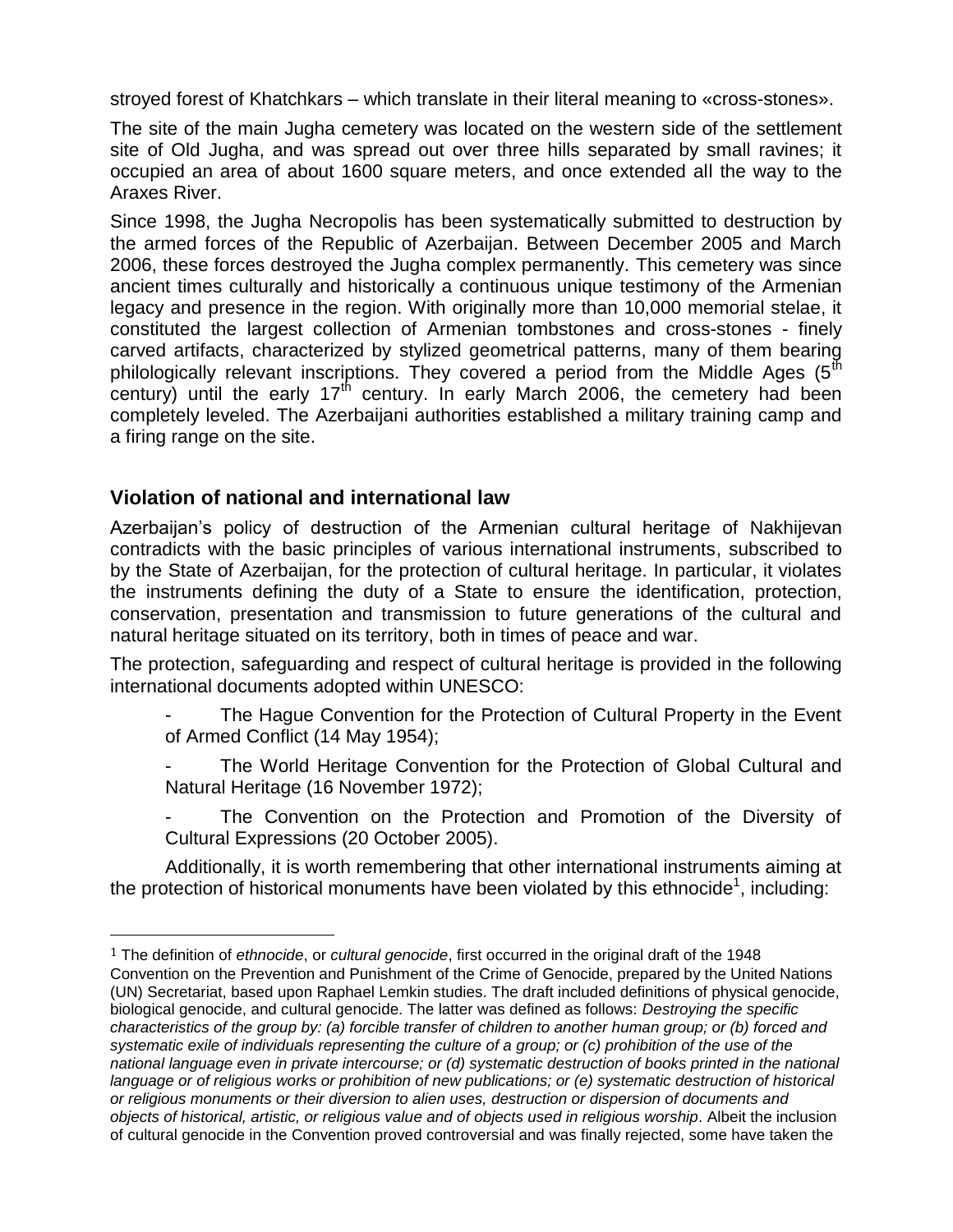stroyed forest of Khatchkars – which translate in their literal meaning to «cross-stones».

The site of the main Jugha cemetery was located on the western side of the settlement site of Old Jugha, and was spread out over three hills separated by small ravines; it occupied an area of about 1600 square meters, and once extended all the way to the Araxes River.

Since 1998, the Jugha Necropolis has been systematically submitted to destruction by the armed forces of the Republic of Azerbaijan. Between December 2005 and March 2006, these forces destroyed the Jugha complex permanently. This cemetery was since ancient times culturally and historically a continuous unique testimony of the Armenian legacy and presence in the region. With originally more than 10,000 memorial stelae, it constituted the largest collection of Armenian tombstones and cross-stones - finely carved artifacts, characterized by stylized geometrical patterns, many of them bearing philologically relevant inscriptions. They covered a period from the Middle Ages  $(5^{th}$ century) until the early  $17<sup>th</sup>$  century. In early March 2006, the cemetery had been completely leveled. The Azerbaijani authorities established a military training camp and a firing range on the site.

# **Violation of national and international law**

l

Azerbaijan's policy of destruction of the Armenian cultural heritage of Nakhijevan contradicts with the basic principles of various international instruments, subscribed to by the State of Azerbaijan, for the protection of cultural heritage. In particular, it violates the instruments defining the duty of a State to ensure the identification, protection, conservation, presentation and transmission to future generations of the cultural and natural heritage situated on its territory, both in times of peace and war.

The protection, safeguarding and respect of cultural heritage is provided in the following international documents adopted within UNESCO:

The Hague Convention for the Protection of Cultural Property in the Event of Armed Conflict (14 May 1954);

The World Heritage Convention for the Protection of Global Cultural and Natural Heritage (16 November 1972);

The Convention on the Protection and Promotion of the Diversity of Cultural Expressions (20 October 2005).

Additionally, it is worth remembering that other international instruments aiming at the protection of historical monuments have been violated by this ethnocide<sup>1</sup>, including:

<sup>1</sup> The definition of *ethnocide*, or *cultural genocide*, first occurred in the original draft of the 1948 Convention on the Prevention and Punishment of the Crime of Genocide, prepared by the United Nations (UN) Secretariat, based upon Raphael Lemkin studies. The draft included definitions of physical genocide, biological genocide, and cultural genocide. The latter was defined as follows: *Destroying the specific characteristics of the group by: (a) forcible transfer of children to another human group; or (b) forced and systematic exile of individuals representing the culture of a group; or (c) prohibition of the use of the national language even in private intercourse; or (d) systematic destruction of books printed in the national language or of religious works or prohibition of new publications; or (e) systematic destruction of historical or religious monuments or their diversion to alien uses, destruction or dispersion of documents and objects of historical, artistic, or religious value and of objects used in religious worship*. Albeit the inclusion of cultural genocide in the Convention proved controversial and was finally rejected, some have taken the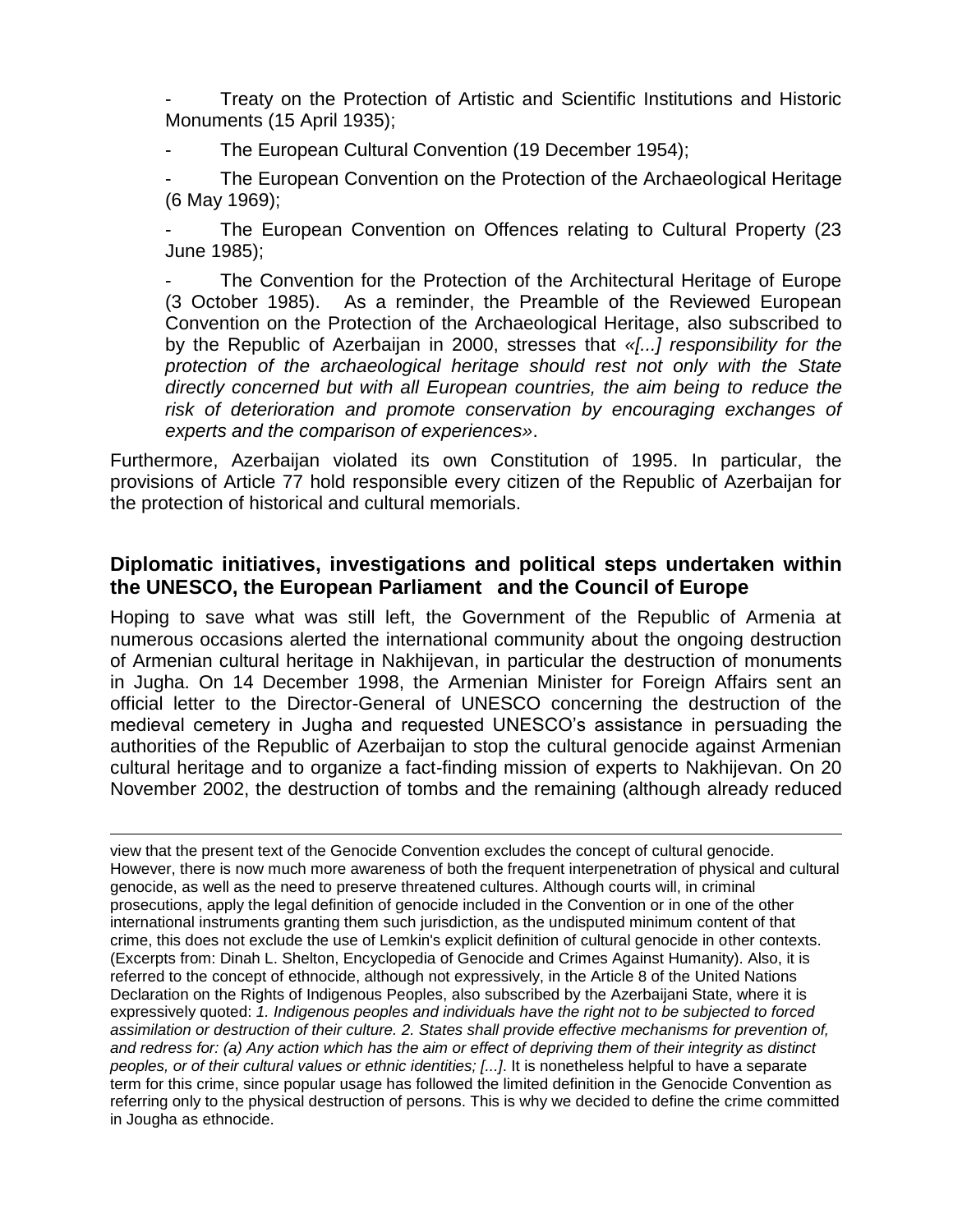Treaty on the Protection of Artistic and Scientific Institutions and Historic Monuments (15 April 1935);

The European Cultural Convention (19 December 1954);

The European Convention on the Protection of the Archaeological Heritage (6 May 1969);

The European Convention on Offences relating to Cultural Property (23 June 1985);

The Convention for the Protection of the Architectural Heritage of Europe (3 October 1985). As a reminder, the Preamble of the Reviewed European Convention on the Protection of the Archaeological Heritage, also subscribed to by the Republic of Azerbaijan in 2000, stresses that *«[...] responsibility for the protection of the archaeological heritage should rest not only with the State directly concerned but with all European countries, the aim being to reduce the risk of deterioration and promote conservation by encouraging exchanges of experts and the comparison of experiences»*.

Furthermore, Azerbaijan violated its own Constitution of 1995. In particular, the provisions of Article 77 hold responsible every citizen of the Republic of Azerbaijan for the protection of historical and cultural memorials.

# **Diplomatic initiatives, investigations and political steps undertaken within the UNESCO, the European Parliament and the Council of Europe**

Hoping to save what was still left, the Government of the Republic of Armenia at numerous occasions alerted the international community about the ongoing destruction of Armenian cultural heritage in Nakhijevan, in particular the destruction of monuments in Jugha. On 14 December 1998, the Armenian Minister for Foreign Affairs sent an official letter to the Director-General of UNESCO concerning the destruction of the medieval cemetery in Jugha and requested UNESCO's assistance in persuading the authorities of the Republic of Azerbaijan to stop the cultural genocide against Armenian cultural heritage and to organize a fact-finding mission of experts to Nakhijevan. On 20 November 2002, the destruction of tombs and the remaining (although already reduced

<u>.</u> view that the present text of the Genocide Convention excludes the concept of cultural genocide. However, there is now much more awareness of both the frequent interpenetration of physical and cultural genocide, as well as the need to preserve threatened cultures. Although courts will, in criminal prosecutions, apply the legal definition of genocide included in the Convention or in one of the other international instruments granting them such jurisdiction, as the undisputed minimum content of that crime, this does not exclude the use of Lemkin's explicit definition of cultural genocide in other contexts. (Excerpts from: Dinah L. Shelton, Encyclopedia of Genocide and Crimes Against Humanity). Also, it is referred to the concept of ethnocide, although not expressively, in the Article 8 of the [United Nations](http://en.wikipedia.org/wiki/United_Nations) Declaration on the Rights of Indigenous Peoples, also subscribed by the Azerbaijani State, where it is expressively quoted: *1. Indigenous peoples and individuals have the right not to be subjected to forced assimilation or destruction of their culture. 2. States shall provide effective mechanisms for prevention of, and redress for: (a) Any action which has the aim or effect of depriving them of their integrity as distinct peoples, or of their cultural values or ethnic identities; [...]*. It is nonetheless helpful to have a separate term for this crime, since popular usage has followed the limited definition in the Genocide Convention as referring only to the physical destruction of persons. This is why we decided to define the crime committed in Jougha as ethnocide.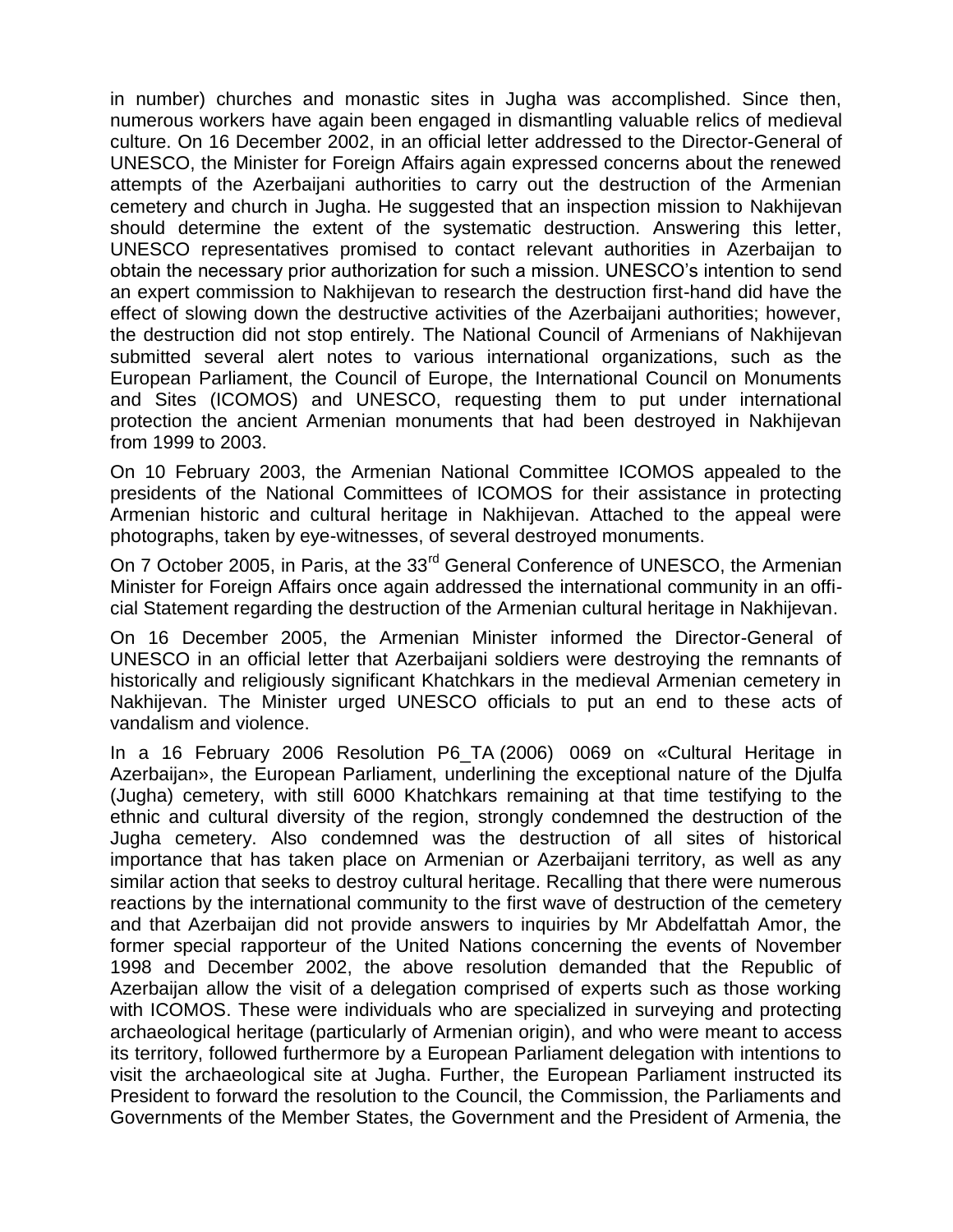in number) churches and monastic sites in Jugha was accomplished. Since then, numerous workers have again been engaged in dismantling valuable relics of medieval culture. On 16 December 2002, in an official letter addressed to the Director-General of UNESCO, the Minister for Foreign Affairs again expressed concerns about the renewed attempts of the Azerbaijani authorities to carry out the destruction of the Armenian cemetery and church in Jugha. He suggested that an inspection mission to Nakhijevan should determine the extent of the systematic destruction. Answering this letter, UNESCO representatives promised to contact relevant authorities in Azerbaijan to obtain the necessary prior authorization for such a mission. UNESCO's intention to send an expert commission to Nakhijevan to research the destruction first-hand did have the effect of slowing down the destructive activities of the Azerbaijani authorities; however, the destruction did not stop entirely. The National Council of Armenians of Nakhijevan submitted several alert notes to various international organizations, such as the European Parliament, the Council of Europe, the International Council on Monuments and Sites (ICOMOS) and UNESCO, requesting them to put under international protection the ancient Armenian monuments that had been destroyed in Nakhijevan from 1999 to 2003.

On 10 February 2003, the Armenian National Committee ICOMOS appealed to the presidents of the National Committees of ICOMOS for their assistance in protecting Armenian historic and cultural heritage in Nakhijevan. Attached to the appeal were photographs, taken by eye-witnesses, of several destroyed monuments.

On 7 October 2005, in Paris, at the 33<sup>rd</sup> General Conference of UNESCO, the Armenian Minister for Foreign Affairs once again addressed the international community in an official Statement regarding the destruction of the Armenian cultural heritage in Nakhijevan.

On 16 December 2005, the Armenian Minister informed the Director-General of UNESCO in an official letter that Azerbaijani soldiers were destroying the remnants of historically and religiously significant Khatchkars in the medieval Armenian cemetery in Nakhijevan. The Minister urged UNESCO officials to put an end to these acts of vandalism and violence.

In a 16 February 2006 Resolution P6\_TA (2006) 0069 on «Cultural Heritage in Azerbaijan», the European Parliament, underlining the exceptional nature of the Djulfa (Jugha) cemetery, with still 6000 Khatchkars remaining at that time testifying to the ethnic and cultural diversity of the region, strongly condemned the destruction of the Jugha cemetery. Also condemned was the destruction of all sites of historical importance that has taken place on Armenian or Azerbaijani territory, as well as any similar action that seeks to destroy cultural heritage. Recalling that there were numerous reactions by the international community to the first wave of destruction of the cemetery and that Azerbaijan did not provide answers to inquiries by Mr Abdelfattah Amor, the former special rapporteur of the United Nations concerning the events of November 1998 and December 2002, the above resolution demanded that the Republic of Azerbaijan allow the visit of a delegation comprised of experts such as those working with ICOMOS. These were individuals who are specialized in surveying and protecting archaeological heritage (particularly of Armenian origin), and who were meant to access its territory, followed furthermore by a European Parliament delegation with intentions to visit the archaeological site at Jugha. Further, the European Parliament instructed its President to forward the resolution to the Council, the Commission, the Parliaments and Governments of the Member States, the Government and the President of Armenia, the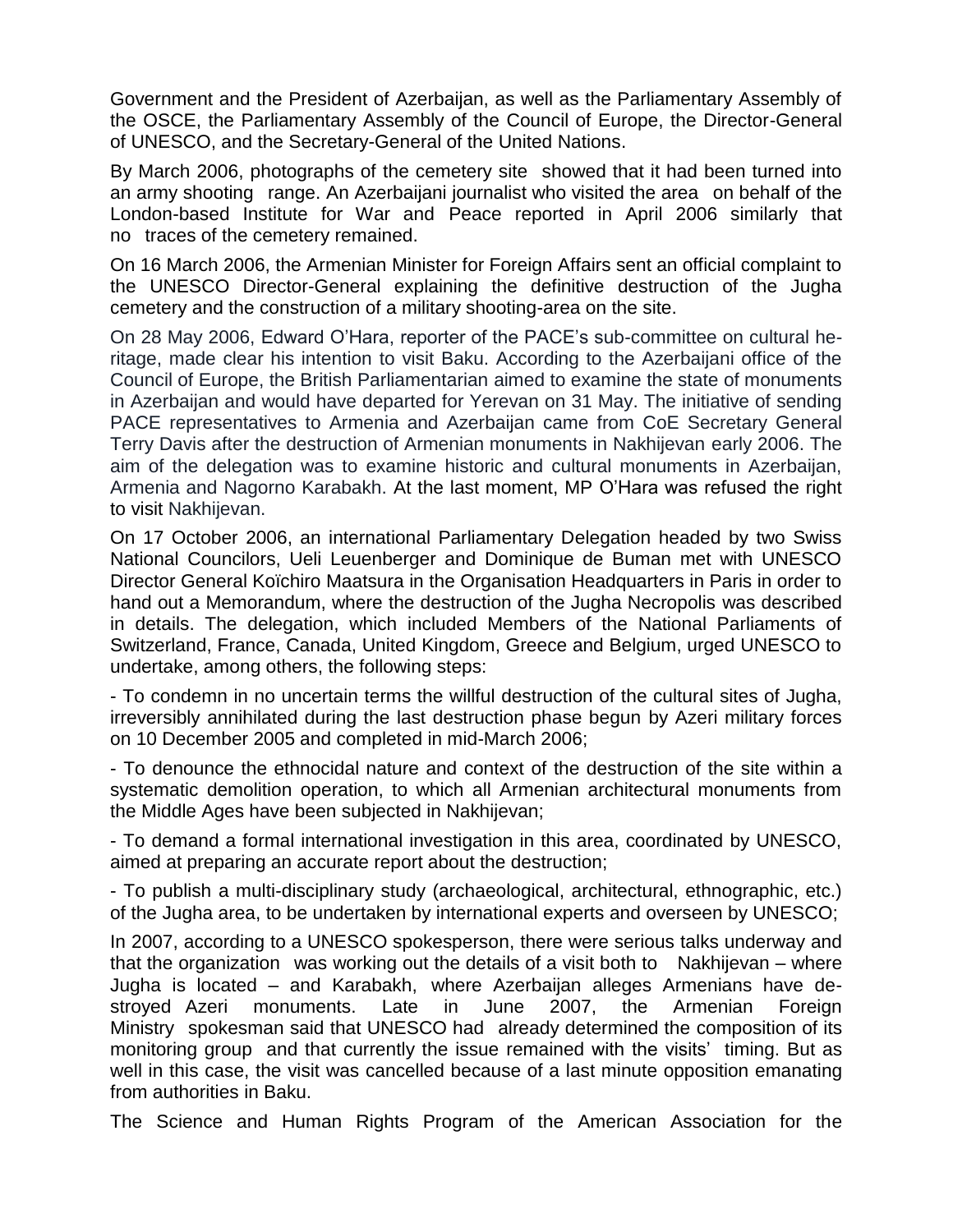Government and the President of Azerbaijan, as well as the Parliamentary Assembly of the OSCE, the Parliamentary Assembly of the Council of Europe, the Director-General of UNESCO, and the Secretary-General of the United Nations.

By March 2006, photographs of the cemetery site showed that it had been turned into an army shooting range. An Azerbaijani journalist who visited the area on behalf of the London-based Institute for War and Peace reported in April 2006 similarly that no traces of the cemetery remained.

On 16 March 2006, the Armenian Minister for Foreign Affairs sent an official complaint to the UNESCO Director-General explaining the definitive destruction of the Jugha cemetery and the construction of a military shooting-area on the site.

On 28 May 2006, Edward O'Hara, reporter of the PACE's sub-committee on cultural heritage, made clear his intention to visit Baku. According to the Azerbaijani office of the Council of Europe, the British Parliamentarian aimed to examine the state of monuments in Azerbaijan and would have departed for Yerevan on 31 May. The initiative of sending PACE representatives to Armenia and Azerbaijan came from CoE Secretary General Terry Davis after the destruction of Armenian monuments in Nakhijevan early 2006. The aim of the delegation was to examine historic and cultural monuments in Azerbaijan, Armenia and Nagorno Karabakh. At the last moment, MP O'Hara was refused the right to visit Nakhijevan.

On 17 October 2006, an international Parliamentary Delegation headed by two Swiss National Councilors, Ueli Leuenberger and Dominique de Buman met with UNESCO Director General Koïchiro Maatsura in the Organisation Headquarters in Paris in order to hand out a Memorandum, where the destruction of the Jugha Necropolis was described in details. The delegation, which included Members of the National Parliaments of Switzerland, France, Canada, United Kingdom, Greece and Belgium, urged UNESCO to undertake, among others, the following steps:

- To condemn in no uncertain terms the willful destruction of the cultural sites of Jugha, irreversibly annihilated during the last destruction phase begun by Azeri military forces on 10 December 2005 and completed in mid-March 2006;

- To denounce the ethnocidal nature and context of the destruction of the site within a systematic demolition operation, to which all Armenian architectural monuments from the Middle Ages have been subjected in Nakhijevan;

- To demand a formal international investigation in this area, coordinated by UNESCO, aimed at preparing an accurate report about the destruction;

- To publish a multi-disciplinary study (archaeological, architectural, ethnographic, etc.) of the Jugha area, to be undertaken by international experts and overseen by UNESCO;

In 2007, according to a UNESCO spokesperson, there were serious talks underway and that the organization was working out the details of a visit both to Nakhijevan – where Jugha is located – and Karabakh, where Azerbaijan alleges Armenians have destroyed Azeri monuments. Late in June 2007, the Armenian Foreign Ministry spokesman said that UNESCO had already determined the composition of its monitoring group and that currently the issue remained with the visits' timing. But as well in this case, the visit was cancelled because of a last minute opposition emanating from authorities in Baku.

The Science and Human Rights Program of the American Association for the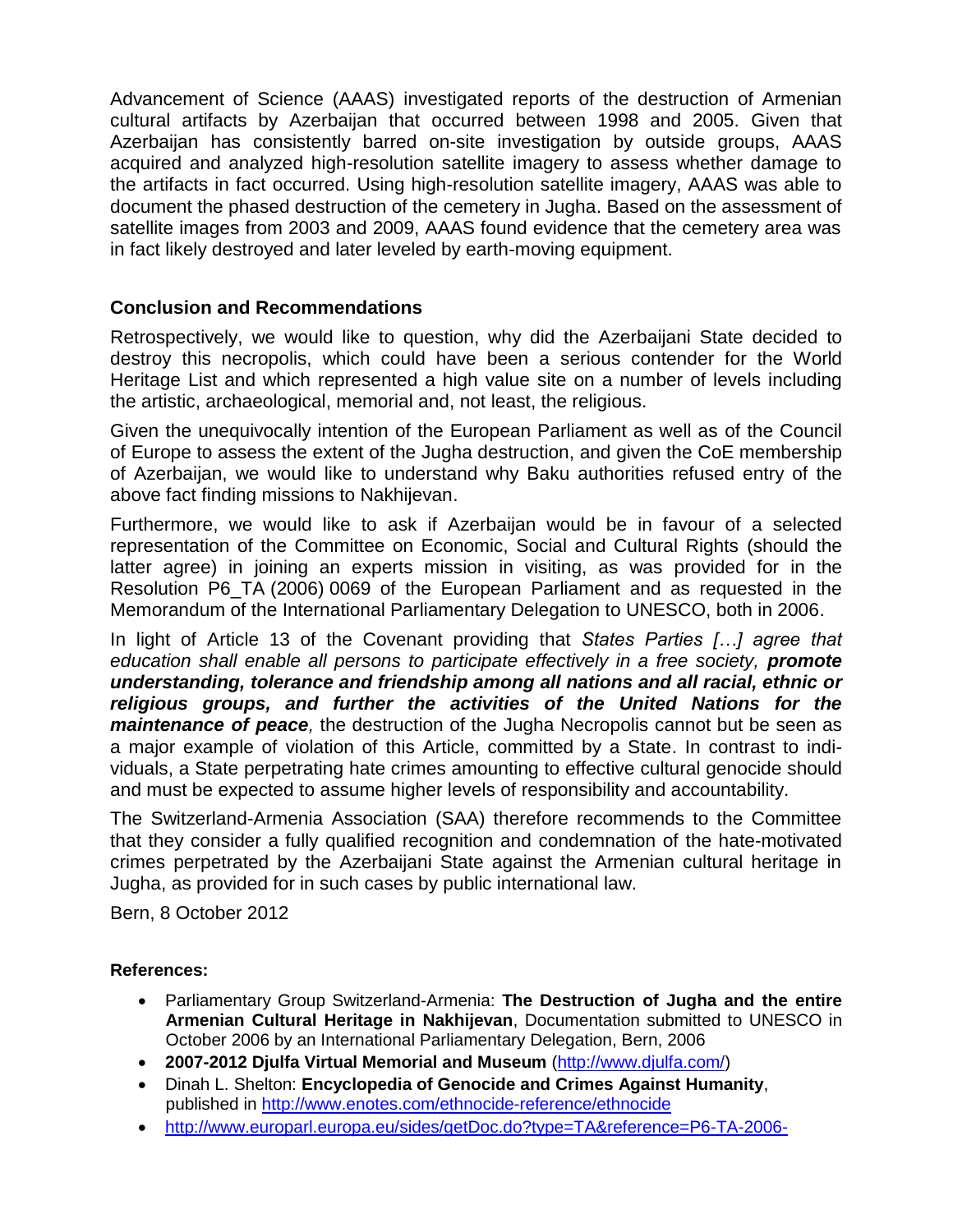Advancement of Science (AAAS) investigated reports of the destruction of Armenian cultural artifacts by Azerbaijan that occurred between 1998 and 2005. Given that Azerbaijan has consistently barred on-site investigation by outside groups, AAAS acquired and analyzed high-resolution satellite imagery to assess whether damage to the artifacts in fact occurred. Using high-resolution satellite imagery, AAAS was able to document the phased destruction of the cemetery in Jugha. Based on the assessment of satellite images from 2003 and 2009, AAAS found evidence that the cemetery area was in fact likely destroyed and later leveled by earth-moving equipment.

#### **Conclusion and Recommendations**

Retrospectively, we would like to question, why did the Azerbaijani State decided to destroy this necropolis, which could have been a serious contender for the World Heritage List and which represented a high value site on a number of levels including the artistic, archaeological, memorial and, not least, the religious.

Given the unequivocally intention of the European Parliament as well as of the Council of Europe to assess the extent of the Jugha destruction, and given the CoE membership of Azerbaijan, we would like to understand why Baku authorities refused entry of the above fact finding missions to Nakhijevan.

Furthermore, we would like to ask if Azerbaijan would be in favour of a selected representation of the Committee on Economic, Social and Cultural Rights (should the latter agree) in joining an experts mission in visiting, as was provided for in the Resolution P6\_TA (2006) 0069 of the European Parliament and as requested in the Memorandum of the International Parliamentary Delegation to UNESCO, both in 2006.

In light of Article 13 of the Covenant providing that *States Parties […] agree that education shall enable all persons to participate effectively in a free society, promote understanding, tolerance and friendship among all nations and all racial, ethnic or religious groups, and further the activities of the United Nations for the maintenance of peace,* the destruction of the Jugha Necropolis cannot but be seen as a major example of violation of this Article, committed by a State. In contrast to individuals, a State perpetrating hate crimes amounting to effective cultural genocide should and must be expected to assume higher levels of responsibility and accountability.

The Switzerland-Armenia Association (SAA) therefore recommends to the Committee that they consider a fully qualified recognition and condemnation of the hate-motivated crimes perpetrated by the Azerbaijani State against the Armenian cultural heritage in Jugha, as provided for in such cases by public international law.

Bern, 8 October 2012

#### **References:**

- Parliamentary Group Switzerland-Armenia: **The Destruction of Jugha and the entire Armenian Cultural Heritage in Nakhijevan**, Documentation submitted to UNESCO in October 2006 by an International Parliamentary Delegation, Bern, 2006
- **2007-2012 Djulfa Virtual Memorial and Museum** [\(http://www.djulfa.com/\)](http://www.djulfa.com/)
- Dinah L. Shelton: **Encyclopedia of Genocide and Crimes Against Humanity**, published in<http://www.enotes.com/ethnocide-reference/ethnocide>
- [http://www.europarl.europa.eu/sides/getDoc.do?type=TA&reference=P6-TA-2006-](http://www.europarl.europa.eu/sides/getDoc.do?type=TA&reference=P6-TA-2006-0069&language=MT)